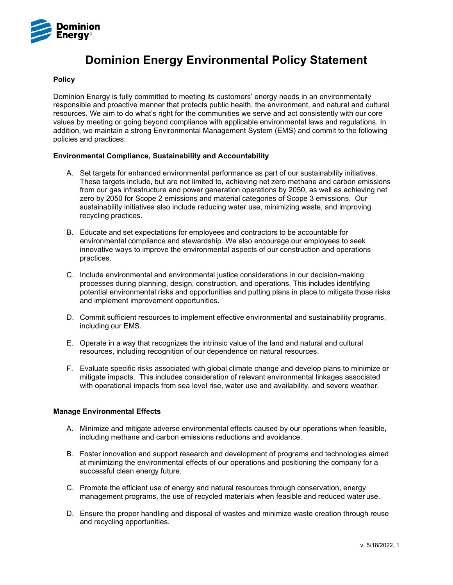

# **Dominion Energy Environmental Policy Statement**

## **Policy**

Dominion Energy is fully committed to meeting its customers' energy needs in an environmentally responsible and proactive manner that protects public health, the environment, and natural and cultural resources. We aim to do what's right for the communities we serve and act consistently with our core values by meeting or going beyond compliance with applicable environmental laws and regulations. In addition, we maintain a strong Environmental Management System (EMS) and commit to the following policies and practices:

## **Environmental Compliance, Sustainability and Accountability**

- A. Set targets for enhanced environmental performance as part of our sustainability initiatives. These targets include, but are not limited to, achieving net zero methane and carbon emissions from our gas infrastructure and power generation operations by 2050, as well as achieving net zero by 2050 for Scope 2 emissions and material categories of Scope 3 emissions. Our sustainability initiatives also include reducing water use, minimizing waste, and improving recycling practices.
- B. Educate and set expectations for employees and contractors to be accountable for environmental compliance and stewardship. We also encourage our employees to seek innovative ways to improve the environmental aspects of our construction and operations practices.
- C. Include environmental and environmental justice considerations in our decision-making processes during planning, design, construction, and operations. This includes identifying potential environmental risks and opportunities and putting plans in place to mitigate those risks and implement improvement opportunities.
- D. Commit sufficient resources to implement effective environmental and sustainability programs, including our EMS.
- E. Operate in a way that recognizes the intrinsic value of the land and natural and cultural resources, including recognition of our dependence on natural resources.
- F. Evaluate specific risks associated with global climate change and develop plans to minimize or mitigate impacts. This includes consideration of relevant environmental linkages associated with operational impacts from sea level rise, water use and availability, and severe weather.

#### **Manage Environmental Effects**

- A. Minimize and mitigate adverse environmental effects caused by our operations when feasible, including methane and carbon emissions reductions and avoidance.
- B. Foster innovation and support research and development of programs and technologies aimed at minimizing the environmental effects of our operations and positioning the company for a successful clean energy future.
- C. Promote the efficient use of energy and natural resources through conservation, energy management programs, the use of recycled materials when feasible and reduced water use.
- D. Ensure the proper handling and disposal of wastes and minimize waste creation through reuse and recycling opportunities.